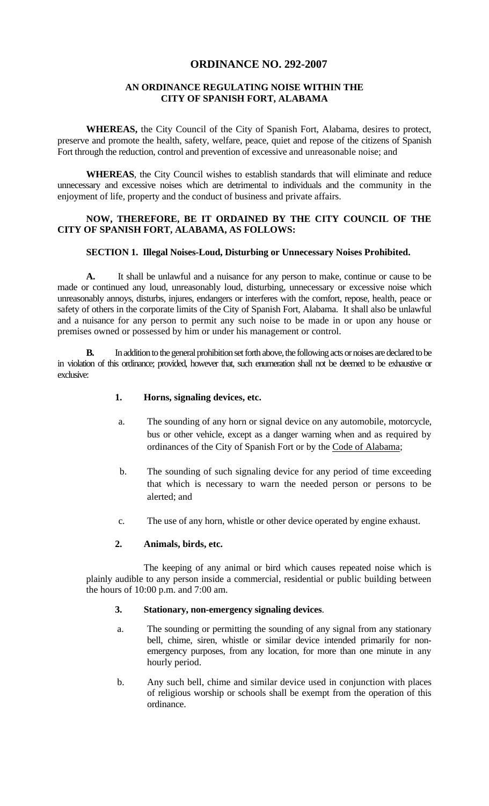# **ORDINANCE NO. 292-2007**

# **AN ORDINANCE REGULATING NOISE WITHIN THE CITY OF SPANISH FORT, ALABAMA**

**WHEREAS,** the City Council of the City of Spanish Fort, Alabama, desires to protect, preserve and promote the health, safety, welfare, peace, quiet and repose of the citizens of Spanish Fort through the reduction, control and prevention of excessive and unreasonable noise; and

**WHEREAS**, the City Council wishes to establish standards that will eliminate and reduce unnecessary and excessive noises which are detrimental to individuals and the community in the enjoyment of life, property and the conduct of business and private affairs.

## **NOW, THEREFORE, BE IT ORDAINED BY THE CITY COUNCIL OF THE CITY OF SPANISH FORT, ALABAMA, AS FOLLOWS:**

### **SECTION 1. Illegal Noises-Loud, Disturbing or Unnecessary Noises Prohibited.**

**A.** It shall be unlawful and a nuisance for any person to make, continue or cause to be made or continued any loud, unreasonably loud, disturbing, unnecessary or excessive noise which unreasonably annoys, disturbs, injures, endangers or interferes with the comfort, repose, health, peace or safety of others in the corporate limits of the City of Spanish Fort, Alabama. It shall also be unlawful and a nuisance for any person to permit any such noise to be made in or upon any house or premises owned or possessed by him or under his management or control.

**B.** In addition to the general prohibition set forth above, the following acts or noises are declared to be in violation of this ordinance; provided, however that, such enumeration shall not be deemed to be exhaustive or exclusive:

## **1. Horns, signaling devices, etc.**

- a. The sounding of any horn or signal device on any automobile, motorcycle, bus or other vehicle, except as a danger warning when and as required by ordinances of the City of Spanish Fort or by the Code of Alabama;
- b.The sounding of such signaling device for any period of time exceeding that which is necessary to warn the needed person or persons to be alerted; and
- c. The use of any horn, whistle or other device operated by engine exhaust.

### **2. Animals, birds, etc.**

 The keeping of any animal or bird which causes repeated noise which is plainly audible to any person inside a commercial, residential or public building between the hours of 10:00 p.m. and 7:00 am.

### **3. Stationary, non-emergency signaling devices**.

- a. The sounding or permitting the sounding of any signal from any stationary bell, chime, siren, whistle or similar device intended primarily for nonemergency purposes, from any location, for more than one minute in any hourly period.
- b. Any such bell, chime and similar device used in conjunction with places of religious worship or schools shall be exempt from the operation of this ordinance.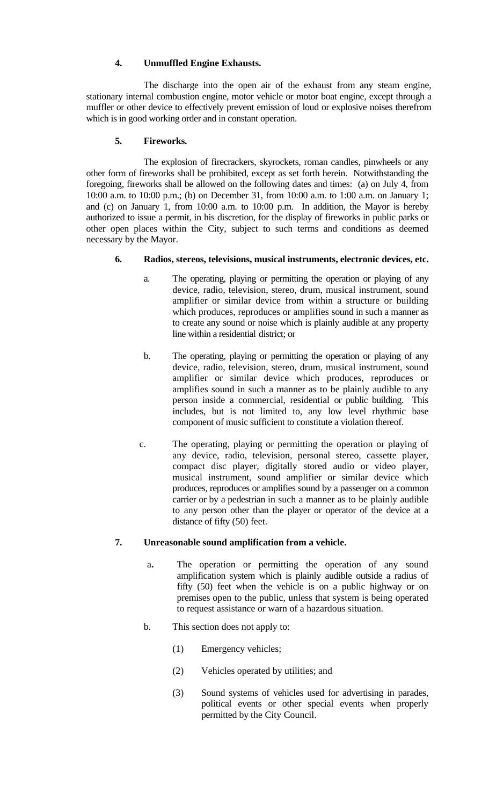# **4. Unmuffled Engine Exhausts.**

 The discharge into the open air of the exhaust from any steam engine, stationary internal combustion engine, motor vehicle or motor boat engine, except through a muffler or other device to effectively prevent emission of loud or explosive noises therefrom which is in good working order and in constant operation.

# **5. Fireworks.**

 The explosion of firecrackers, skyrockets, roman candles, pinwheels or any other form of fireworks shall be prohibited, except as set forth herein. Notwithstanding the foregoing, fireworks shall be allowed on the following dates and times: (a) on July 4, from 10:00 a.m. to 10:00 p.m.; (b) on December 31, from 10:00 a.m. to 1:00 a.m. on January 1; and (c) on January 1, from 10:00 a.m. to 10:00 p.m. In addition, the Mayor is hereby authorized to issue a permit, in his discretion, for the display of fireworks in public parks or other open places within the City, subject to such terms and conditions as deemed necessary by the Mayor.

# **6. Radios, stereos, televisions, musical instruments, electronic devices, etc.**

- a. The operating, playing or permitting the operation or playing of any device, radio, television, stereo, drum, musical instrument, sound amplifier or similar device from within a structure or building which produces, reproduces or amplifies sound in such a manner as to create any sound or noise which is plainly audible at any property line within a residential district; or
- b. The operating, playing or permitting the operation or playing of any device, radio, television, stereo, drum, musical instrument, sound amplifier or similar device which produces, reproduces or amplifies sound in such a manner as to be plainly audible to any person inside a commercial, residential or public building. This includes, but is not limited to, any low level rhythmic base component of music sufficient to constitute a violation thereof.
- c. The operating, playing or permitting the operation or playing of any device, radio, television, personal stereo, cassette player, compact disc player, digitally stored audio or video player, musical instrument, sound amplifier or similar device which produces, reproduces or amplifies sound by a passenger on a common carrier or by a pedestrian in such a manner as to be plainly audible to any person other than the player or operator of the device at a distance of fifty (50) feet.

### **7. Unreasonable sound amplification from a vehicle.**

- a**.** The operation or permitting the operation of any sound amplification system which is plainly audible outside a radius of fifty (50) feet when the vehicle is on a public highway or on premises open to the public, unless that system is being operated to request assistance or warn of a hazardous situation.
- b. This section does not apply to:
	- (1) Emergency vehicles;
	- (2) Vehicles operated by utilities; and
	- (3) Sound systems of vehicles used for advertising in parades, political events or other special events when properly permitted by the City Council.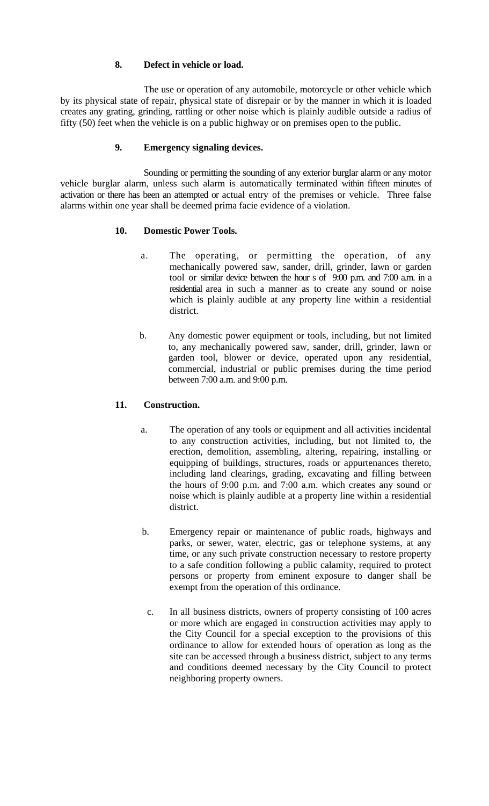# **8. Defect in vehicle or load.**

 The use or operation of any automobile, motorcycle or other vehicle which by its physical state of repair, physical state of disrepair or by the manner in which it is loaded creates any grating, grinding, rattling or other noise which is plainly audible outside a radius of fifty (50) feet when the vehicle is on a public highway or on premises open to the public.

## **9. Emergency signaling devices.**

 Sounding or permitting the sounding of any exterior burglar alarm or any motor vehicle burglar alarm, unless such alarm is automatically terminated within fifteen minutes of activation or there has been an attempted or actual entry of the premises or vehicle. Three false alarms within one year shall be deemed prima facie evidence of a violation.

# **10. Domestic Power Tools.**

- a. The operating, or permitting the operation, of any mechanically powered saw, sander, drill, grinder, lawn or garden tool or similar device between the hour s of 9:00 p.m. and 7:00 a.m. in a residential area in such a manner as to create any sound or noise which is plainly audible at any property line within a residential district.
- b. Any domestic power equipment or tools, including, but not limited to, any mechanically powered saw, sander, drill, grinder, lawn or garden tool, blower or device, operated upon any residential, commercial, industrial or public premises during the time period between 7:00 a.m. and 9:00 p.m.

# **11. Construction.**

- a. The operation of any tools or equipment and all activities incidental to any construction activities, including, but not limited to, the erection, demolition, assembling, altering, repairing, installing or equipping of buildings, structures, roads or appurtenances thereto, including land clearings, grading, excavating and filling between the hours of 9:00 p.m. and 7:00 a.m. which creates any sound or noise which is plainly audible at a property line within a residential district.
- b. Emergency repair or maintenance of public roads, highways and parks, or sewer, water, electric, gas or telephone systems, at any time, or any such private construction necessary to restore property to a safe condition following a public calamity, required to protect persons or property from eminent exposure to danger shall be exempt from the operation of this ordinance.
	- c. In all business districts, owners of property consisting of 100 acres or more which are engaged in construction activities may apply to the City Council for a special exception to the provisions of this ordinance to allow for extended hours of operation as long as the site can be accessed through a business district, subject to any terms and conditions deemed necessary by the City Council to protect neighboring property owners.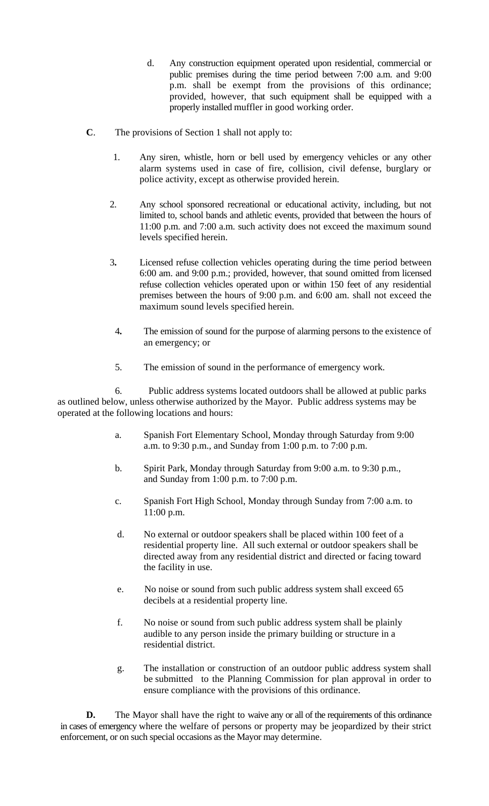- d. Any construction equipment operated upon residential, commercial or public premises during the time period between 7:00 a.m. and 9:00 p.m. shall be exempt from the provisions of this ordinance; provided, however, that such equipment shall be equipped with a properly installed muffler in good working order.
- **C**. The provisions of Section 1 shall not apply to:
	- 1. Any siren, whistle, horn or bell used by emergency vehicles or any other alarm systems used in case of fire, collision, civil defense, burglary or police activity, except as otherwise provided herein.
	- 2. Any school sponsored recreational or educational activity, including, but not limited to, school bands and athletic events, provided that between the hours of 11:00 p.m. and 7:00 a.m. such activity does not exceed the maximum sound levels specified herein.
	- 3**.** Licensed refuse collection vehicles operating during the time period between 6:00 am. and 9:00 p.m.; provided, however, that sound omitted from licensed refuse collection vehicles operated upon or within 150 feet of any residential premises between the hours of 9:00 p.m. and 6:00 am. shall not exceed the maximum sound levels specified herein.
	- 4**.** The emission of sound for the purpose of alarming persons to the existence of an emergency; or
	- 5. The emission of sound in the performance of emergency work.

 6. Public address systems located outdoors shall be allowed at public parks as outlined below, unless otherwise authorized by the Mayor. Public address systems may be operated at the following locations and hours:

- a. Spanish Fort Elementary School, Monday through Saturday from 9:00 a.m. to 9:30 p.m., and Sunday from 1:00 p.m. to 7:00 p.m.
- b. Spirit Park, Monday through Saturday from 9:00 a.m. to 9:30 p.m., and Sunday from 1:00 p.m. to 7:00 p.m.
- c. Spanish Fort High School, Monday through Sunday from 7:00 a.m. to 11:00 p.m.
- d. No external or outdoor speakers shall be placed within 100 feet of a residential property line. All such external or outdoor speakers shall be directed away from any residential district and directed or facing toward the facility in use.
- e. No noise or sound from such public address system shall exceed 65 decibels at a residential property line.
- f. No noise or sound from such public address system shall be plainly audible to any person inside the primary building or structure in a residential district.
- g. The installation or construction of an outdoor public address system shall be submitted to the Planning Commission for plan approval in order to ensure compliance with the provisions of this ordinance.

**D.** The Mayor shall have the right to waive any or all of the requirements of this ordinance in cases of emergency where the welfare of persons or property may be jeopardized by their strict enforcement, or on such special occasions as the Mayor may determine.